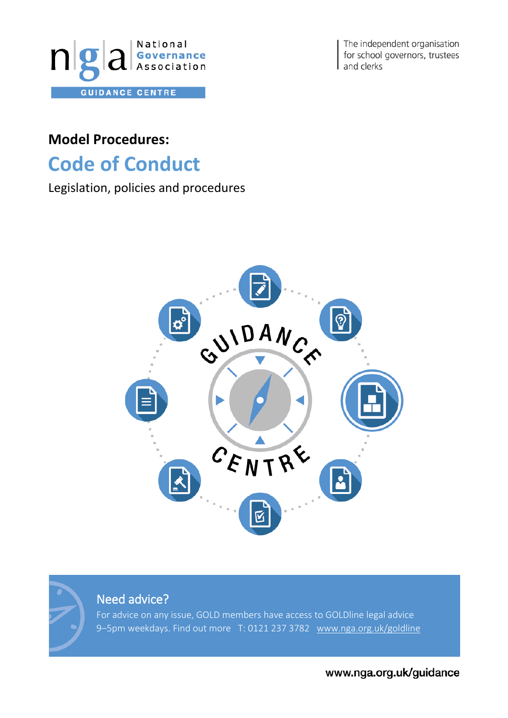

The independent organisation for school governors, trustees and clerks

## **Model Procedures:**

## **Code of Conduct**

## Legislation, policies and procedures





## Need advice?

For advice on any issue, GOLD members have access to GOLDline legal advice 9-5pm weekdays. Find out more T: 0121 237 3782 [www.nga.org.uk/goldline](http://www.nga.org.uk/goldline)

www.nga.org.uk/guidance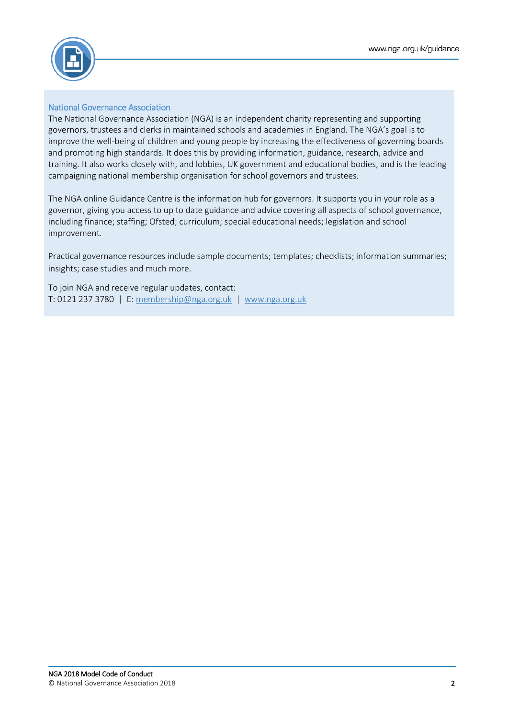

#### National Governance Association

The National Governance Association (NGA) is an independent charity representing and supporting governors, trustees and clerks in maintained schools and academies in England. The NGA's goal is to improve the well-being of children and young people by increasing the effectiveness of governing boards and promoting high standards. It does this by providing information, guidance, research, advice and training. It also works closely with, and lobbies, UK government and educational bodies, and is the leading campaigning national membership organisation for school governors and trustees.

The NGA online Guidance Centre is the information hub for governors. It supports you in your role as a governor, giving you access to up to date guidance and advice covering all aspects of school governance, including finance; staffing; Ofsted; curriculum; special educational needs; legislation and school improvement.

Practical governance resources include sample documents; templates; checklists; information summaries; insights; case studies and much more.

To join NGA and receive regular updates, contact: T: 0121 237 3780 | E: [membership@nga.org.uk](mailto:membership@nga.org.uk) | [www.nga.org.uk](file://///Exchange/company/Communications/1%20Projects/025%20Guidance%20docs/www.nga.org.uk)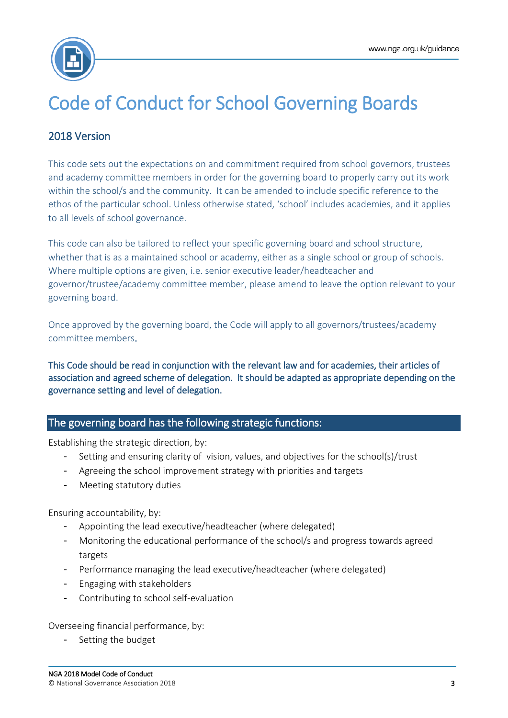

# Code of Conduct for School Governing Boards

## 2018 Version

This code sets out the expectations on and commitment required from school governors, trustees and academy committee members in order for the governing board to properly carry out its work within the school/s and the community. It can be amended to include specific reference to the ethos of the particular school. Unless otherwise stated, 'school' includes academies, and it applies to all levels of school governance.

This code can also be tailored to reflect your specific governing board and school structure, whether that is as a maintained school or academy, either as a single school or group of schools. Where multiple options are given, i.e. senior executive leader/headteacher and governor/trustee/academy committee member, please amend to leave the option relevant to your governing board.

Once approved by the governing board, the Code will apply to all governors/trustees/academy committee members.

This Code should be read in conjunction with the relevant law and for academies, their articles of association and agreed scheme of delegation. It should be adapted as appropriate depending on the governance setting and level of delegation.

## The governing board has the following strategic functions:

Establishing the strategic direction, by:

- Setting and ensuring clarity of vision, values, and objectives for the school(s)/trust
- Agreeing the school improvement strategy with priorities and targets
- Meeting statutory duties

Ensuring accountability, by:

- Appointing the lead executive/headteacher (where delegated)
- Monitoring the educational performance of the school/s and progress towards agreed targets
- Performance managing the lead executive/headteacher (where delegated)
- Engaging with stakeholders
- Contributing to school self-evaluation

Overseeing financial performance, by:

Setting the budget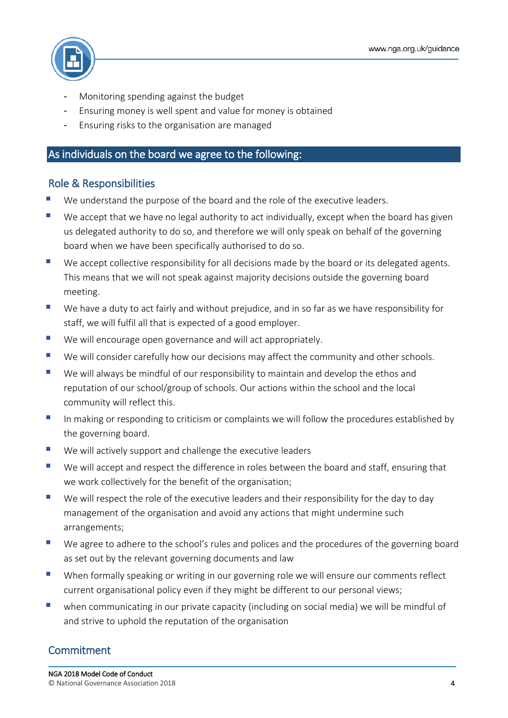

- Monitoring spending against the budget
- Ensuring money is well spent and value for money is obtained
- Ensuring risks to the organisation are managed

#### As individuals on the board we agree to the following:

### Role & Responsibilities

- We understand the purpose of the board and the role of the executive leaders.
- We accept that we have no legal authority to act individually, except when the board has given us delegated authority to do so, and therefore we will only speak on behalf of the governing board when we have been specifically authorised to do so.
- We accept collective responsibility for all decisions made by the board or its delegated agents. This means that we will not speak against majority decisions outside the governing board meeting.
- We have a duty to act fairly and without prejudice, and in so far as we have responsibility for staff, we will fulfil all that is expected of a good employer.
- We will encourage open governance and will act appropriately.
- We will consider carefully how our decisions may affect the community and other schools.
- We will always be mindful of our responsibility to maintain and develop the ethos and reputation of our school/group of schools. Our actions within the school and the local community will reflect this.
- In making or responding to criticism or complaints we will follow the procedures established by the governing board.
- We will actively support and challenge the executive leaders
- We will accept and respect the difference in roles between the board and staff, ensuring that we work collectively for the benefit of the organisation;
- We will respect the role of the executive leaders and their responsibility for the day to day management of the organisation and avoid any actions that might undermine such arrangements;
- We agree to adhere to the school's rules and polices and the procedures of the governing board as set out by the relevant governing documents and law
- When formally speaking or writing in our governing role we will ensure our comments reflect current organisational policy even if they might be different to our personal views;
- when communicating in our private capacity (including on social media) we will be mindful of and strive to uphold the reputation of the organisation

### **Commitment**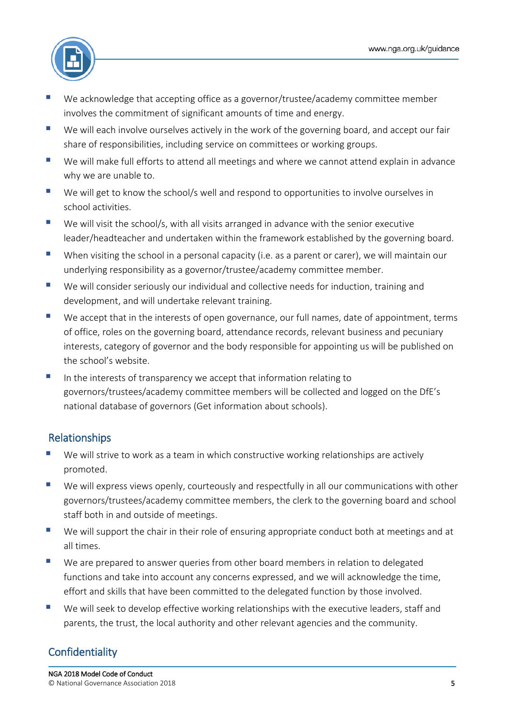

- We acknowledge that accepting office as a governor/trustee/academy committee member involves the commitment of significant amounts of time and energy.
- We will each involve ourselves actively in the work of the governing board, and accept our fair share of responsibilities, including service on committees or working groups.
- We will make full efforts to attend all meetings and where we cannot attend explain in advance why we are unable to.
- We will get to know the school/s well and respond to opportunities to involve ourselves in school activities.
- $\blacksquare$  We will visit the school/s, with all visits arranged in advance with the senior executive leader/headteacher and undertaken within the framework established by the governing board.
- When visiting the school in a personal capacity (i.e. as a parent or carer), we will maintain our underlying responsibility as a governor/trustee/academy committee member.
- We will consider seriously our individual and collective needs for induction, training and development, and will undertake relevant training.
- We accept that in the interests of open governance, our full names, date of appointment, terms of office, roles on the governing board, attendance records, relevant business and pecuniary interests, category of governor and the body responsible for appointing us will be published on the school's website.
- In the interests of transparency we accept that information relating to governors/trustees/academy committee members will be collected and logged on the DfE's national database of governors (Get information about schools).

## Relationships

- We will strive to work as a team in which constructive working relationships are actively promoted.
- We will express views openly, courteously and respectfully in all our communications with other governors/trustees/academy committee members, the clerk to the governing board and school staff both in and outside of meetings.
- We will support the chair in their role of ensuring appropriate conduct both at meetings and at all times.
- We are prepared to answer queries from other board members in relation to delegated functions and take into account any concerns expressed, and we will acknowledge the time, effort and skills that have been committed to the delegated function by those involved.
- We will seek to develop effective working relationships with the executive leaders, staff and parents, the trust, the local authority and other relevant agencies and the community.

## **Confidentiality**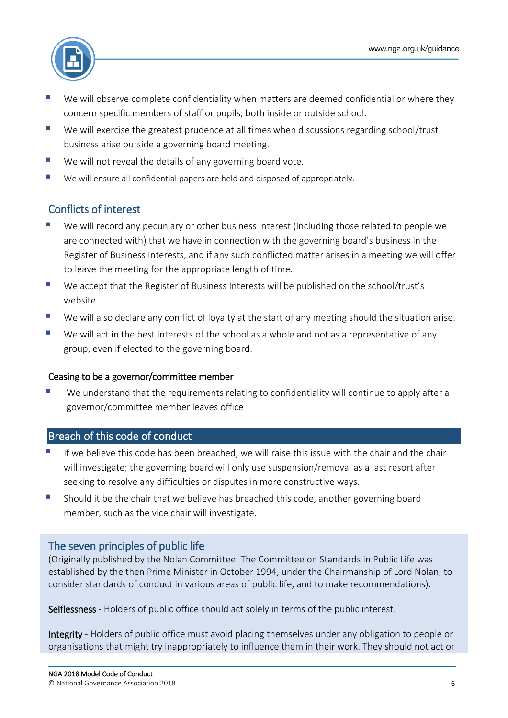

- We will observe complete confidentiality when matters are deemed confidential or where they concern specific members of staff or pupils, both inside or outside school.
- We will exercise the greatest prudence at all times when discussions regarding school/trust business arise outside a governing board meeting.
- We will not reveal the details of any governing board vote.
- We will ensure all confidential papers are held and disposed of appropriately.

## Conflicts of interest

- We will record any pecuniary or other business interest (including those related to people we are connected with) that we have in connection with the governing board's business in the Register of Business Interests, and if any such conflicted matter arises in a meeting we will offer to leave the meeting for the appropriate length of time.
- We accept that the Register of Business Interests will be published on the school/trust's website.
- We will also declare any conflict of loyalty at the start of any meeting should the situation arise.
- We will act in the best interests of the school as a whole and not as a representative of any group, even if elected to the governing board.

#### Ceasing to be a governor/committee member

 We understand that the requirements relating to confidentiality will continue to apply after a governor/committee member leaves office

#### Breach of this code of conduct

- If we believe this code has been breached, we will raise this issue with the chair and the chair will investigate; the governing board will only use suspension/removal as a last resort after seeking to resolve any difficulties or disputes in more constructive ways.
- Should it be the chair that we believe has breached this code, another governing board member, such as the vice chair will investigate.

### The seven principles of public life

(Originally published by the Nolan Committee: The Committee on Standards in Public Life was established by the then Prime Minister in October 1994, under the Chairmanship of Lord Nolan, to consider standards of conduct in various areas of public life, and to make recommendations).

Selflessness - Holders of public office should act solely in terms of the public interest.

Integrity - Holders of public office must avoid placing themselves under any obligation to people or organisations that might try inappropriately to influence them in their work. They should not act or